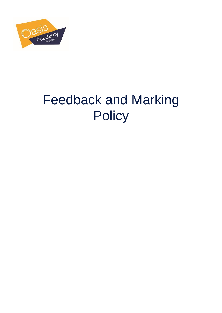

# Feedback and Marking **Policy**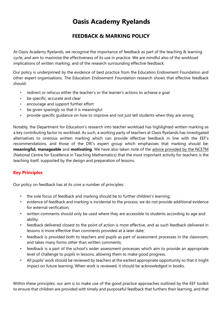## **Oasis Academy Ryelands**

### **FEEDBACK & MARKING POLICY**

At Oasis Academy Ryelands, we recognise the importance of feedback as part of the teaching & learning cycle, and aim to maximise the effectiveness of its use in practice. We are mindful also of the workload implications of written marking, and of the research surrounding effective feedback.

Our policy is underpinned by the evidence of best practice from the Education Endowment Foundation and other expert organisations. The Education Endowment Foundation research shows that effective feedback should:

- redirect or refocus either the teacher's or the learner's actions to achieve a goal
- be specific, accurate and clear
- encourage and support further effort
- be given sparingly so that it is meaningful
- provide specific quidance on how to improve and not just tell students when they are wrong

Notably, the Department for Education's research into teacher workload has highlighted written marking as a key contributing factor to workload. As such, a working party of teachers at Oasis Ryelands has investigated alternatives to onerous written marking which can provide effective feedback in line with the EEF's recommendations, and those of the DfE's expert group which emphasises that marking should be: **meaningful, manageable** and **motivating**. We have also taken note of the [advice provided by the NCETM](https://www.ncetm.org.uk/news/48830) (National Centre for Excellence in Teaching Mathematics) that the most important activity for teachers is the teaching itself, supported by the design and preparation of lessons.

#### **Key Principles**

Our policy on feedback has at its core a number of principles:

- the sole focus of feedback and marking should be to further children's learning;
- evidence of feedback and marking is incidental to the process; we do not provide additional evidence for external verification;
- written comments should only be used where they are accessible to students according to age and ability;
- feedback delivered closest to the point of action is most effective, and as such feedback delivered in lessons is more effective than comments provided at a later date;
- feedback is provided both to teachers and pupils as part of assessment processes in the classroom, and takes many forms other than written comments;
- feedback is a part of the school's wider assessment processes which aim to provide an appropriate level of challenge to pupils in lessons, allowing them to make good progress.
- All pupils' work should be reviewed by teachers at the earliest appropriate opportunity so that it might impact on future learning. When work is reviewed, it should be acknowledged in books.

Within these principles, our aim is to make use of the good practice approaches outlined by the EEF toolkit to ensure that children are provided with timely and purposeful feedback that furthers their learning, and that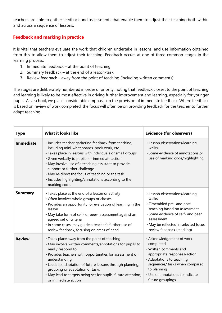teachers are able to gather feedback and assessments that enable them to adjust their teaching both within and across a sequence of lessons.

#### **Feedback and marking in practice**

It is vital that teachers evaluate the work that children undertake in lessons, and use information obtained from this to allow them to adjust their teaching. Feedback occurs at one of three common stages in the learning process:

- 1. Immediate feedback at the point of teaching
- 2. Summary feedback at the end of a lesson/task
- 3. Review feedback away from the point of teaching (including written comments)

The stages are deliberately numbered in order of priority, noting that feedback closest to the point of teaching and learning is likely to be most effective in driving further improvement and learning, especially for younger pupils. As a school, we place considerable emphasis on the provision of immediate feedback. Where feedback is based on review of work completed, the focus will often be on providing feedback for the teacher to further adapt teaching.

| <b>Type</b>      | <b>What it looks like</b>                                                                                                                                                                                                                                                                                                                                                                                                                 | <b>Evidence (for observers)</b>                                                                                                                                                                                                        |
|------------------|-------------------------------------------------------------------------------------------------------------------------------------------------------------------------------------------------------------------------------------------------------------------------------------------------------------------------------------------------------------------------------------------------------------------------------------------|----------------------------------------------------------------------------------------------------------------------------------------------------------------------------------------------------------------------------------------|
| <b>Immediate</b> | . Includes teacher gathering feedback from teaching,<br>including mini-whiteboards, book work, etc.<br>· Takes place in lessons with individuals or small groups<br>· Given verbally to pupils for immediate action<br>• May involve use of a teaching assistant to provide<br>support or further challenge<br>• May re-direct the focus of teaching or the task<br>· Includes highlighting/annotations according to the<br>marking code. | • Lesson observations/learning<br>walks<br>• Some evidence of annotations or<br>use of marking code/highlighting                                                                                                                       |
| <b>Summary</b>   | • Takes place at the end of a lesson or activity<br>• Often involves whole groups or classes<br>• Provides an opportunity for evaluation of learning in the<br>lesson<br>• May take form of self- or peer- assessment against an<br>agreed set of criteria<br>. In some cases, may guide a teacher's further use of<br>review feedback, focusing on areas of need                                                                         | • Lesson observations/learning<br>walks<br>• Timetabled pre- and post-<br>teaching based on assessment<br>· Some evidence of self- and peer<br>assessment<br>• May be reflected in selected focus<br>review feedback (marking)         |
| <b>Review</b>    | • Takes place away from the point of teaching<br>• May involve written comments/annotations for pupils to<br>read / respond to<br>• Provides teachers with opportunities for assessment of<br>understanding<br>• Leads to adaptation of future lessons through planning,<br>grouping or adaptation of tasks<br>. May lead to targets being set for pupils' future attention,<br>or immediate action                                       | • Acknowledgement of work<br>completed<br>• Written comments and<br>appropriate responses/action<br>• Adaptations to teaching<br>sequences/ tasks when compared<br>to planning<br>• Use of annotations to indicate<br>future groupings |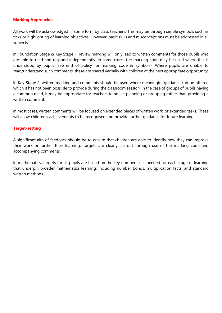#### **Marking Approaches**

All work will be acknowledged in some form by class teachers. This may be through simple symbols such as ticks or highlighting of learning objectives. However, basic skills and misconceptions must be addressed in all subjects.

In Foundation Stage & Key Stage 1, review marking will only lead to written comments for those pupils who are able to read and respond independently. In some cases, the marking code may be used where this is understood by pupils (see end of policy for marking code & symbols). Where pupils are unable to read/understand such comments, these are shared verbally with children at the next appropriate opportunity.

In Key Stage 2, written marking and comments should be used where meaningful guidance can be offered which it has not been possible to provide during the classroom session. In the case of groups of pupils having a common need, it may be appropriate for teachers to adjust planning or grouping rather than providing a written comment.

In most cases, written comments will be focused on extended pieces of written work, or extended tasks. These will allow children's achievements to be recognised and provide further guidance for future learning.

#### **Target-setting**

A significant aim of feedback should be to ensure that children are able to identify how they can improve their work or further their learning. Targets are clearly set out through use of the marking code and accompanying comments.

In mathematics, targets for all pupils are based on the key number skills needed for each stage of learning that underpin broader mathematics learning, including number bonds, multiplication facts, and standard written methods.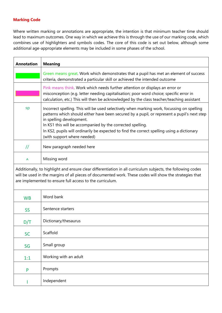#### **Marking Code**

I

Independent

Where written marking or annotations are appropriate, the intention is that minimum teacher time should lead to maximum outcomes. One way in which we achieve this is through the use of our marking code, which combines use of highlighters and symbols codes. The core of this code is set out below, although some additional age-appropriate elements may be included in some phases of the school.

| <b>Annotation</b>                                                                                                                                                                                                                                                                  | <b>Meaning</b>                                                                                                                                                                                                                                                                                                                                                                                                   |  |
|------------------------------------------------------------------------------------------------------------------------------------------------------------------------------------------------------------------------------------------------------------------------------------|------------------------------------------------------------------------------------------------------------------------------------------------------------------------------------------------------------------------------------------------------------------------------------------------------------------------------------------------------------------------------------------------------------------|--|
|                                                                                                                                                                                                                                                                                    | Green means great. Work which demonstrates that a pupil has met an element of success<br>criteria, demonstrated a particular skill or achieved the intended outcome                                                                                                                                                                                                                                              |  |
|                                                                                                                                                                                                                                                                                    | Pink means think. Work which needs further attention or displays an error or<br>misconception (e.g. letter needing capitalisation; poor word choice; specific error in<br>calculation, etc.) This will then be acknowledged by the class teacher/teaching assistant                                                                                                                                              |  |
| sp                                                                                                                                                                                                                                                                                 | Incorrect spelling. This will be used selectively when marking work, focussing on spelling<br>patterns which should either have been secured by a pupil, or represent a pupil's next step<br>in spelling development.<br>In KS1 this will be accompanied by the corrected spelling.<br>In KS2, pupils will ordinarily be expected to find the correct spelling using a dictionary<br>(with support where needed) |  |
| $\overline{11}$                                                                                                                                                                                                                                                                    | New paragraph needed here                                                                                                                                                                                                                                                                                                                                                                                        |  |
| Λ                                                                                                                                                                                                                                                                                  | Missing word                                                                                                                                                                                                                                                                                                                                                                                                     |  |
| Additionally, to highlight and ensure clear differentiation in all curriculum subjects, the following codes<br>will be used in the margins of all pieces of documented work. These codes will show the strategies that<br>are implemented to ensure full access to the curriculum. |                                                                                                                                                                                                                                                                                                                                                                                                                  |  |
| <b>WB</b>                                                                                                                                                                                                                                                                          | Word bank                                                                                                                                                                                                                                                                                                                                                                                                        |  |
| <b>SS</b>                                                                                                                                                                                                                                                                          | Sentence starters                                                                                                                                                                                                                                                                                                                                                                                                |  |
| D/T                                                                                                                                                                                                                                                                                | Dictionary/thesaurus                                                                                                                                                                                                                                                                                                                                                                                             |  |
| <b>SC</b>                                                                                                                                                                                                                                                                          | Scaffold                                                                                                                                                                                                                                                                                                                                                                                                         |  |
| SG                                                                                                                                                                                                                                                                                 | Small group                                                                                                                                                                                                                                                                                                                                                                                                      |  |
| 1:1                                                                                                                                                                                                                                                                                | Working with an adult                                                                                                                                                                                                                                                                                                                                                                                            |  |
| P                                                                                                                                                                                                                                                                                  | Prompts                                                                                                                                                                                                                                                                                                                                                                                                          |  |